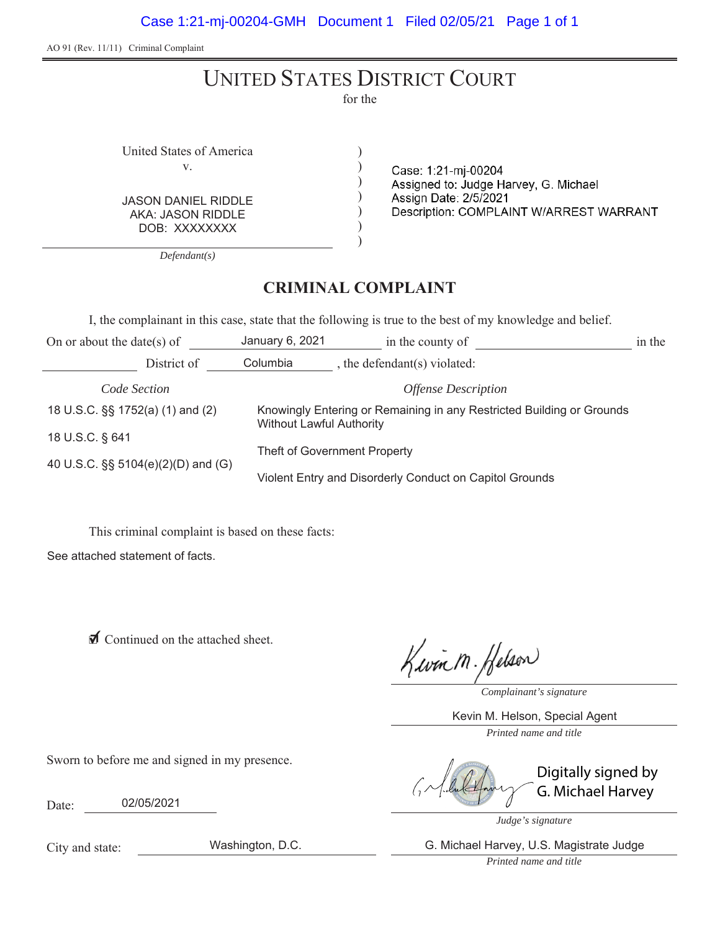AO 91 (Rev. 11/11) Criminal Complaint

# UNITED STATES DISTRICT COURT

for the

) ) ) ) ) )

United States of America ) v.

JASON DANIEL RIDDLE AKA: JASON RIDDLE DOB: XXXXXXXX

Case: 1:21-mj-00204<br>Assigned to: Judge Harvey, G. Michael Assign Date: 2/5/2021 Description: COMPLAINT W/ARREST WARRANT

*Defendant(s)*

# **CRIMINAL COMPLAINT**

I, the complainant in this case, state that the following is true to the best of my knowledge and belief.

| On or about the date(s) of         |             | January 6, 2021                                                                                                                                                                                     | in the county of             | in the |
|------------------------------------|-------------|-----------------------------------------------------------------------------------------------------------------------------------------------------------------------------------------------------|------------------------------|--------|
|                                    | District of | Columbia                                                                                                                                                                                            | , the defendant(s) violated: |        |
| Code Section                       |             | <b>Offense Description</b>                                                                                                                                                                          |                              |        |
| 18 U.S.C. §§ 1752(a) (1) and (2)   |             | Knowingly Entering or Remaining in any Restricted Building or Grounds<br><b>Without Lawful Authority</b><br>Theft of Government Property<br>Violent Entry and Disorderly Conduct on Capitol Grounds |                              |        |
| 18 U.S.C. § 641                    |             |                                                                                                                                                                                                     |                              |        |
| 40 U.S.C. §§ 5104(e)(2)(D) and (G) |             |                                                                                                                                                                                                     |                              |        |

This criminal complaint is based on these facts:

See attached statement of facts.

◯ Continued on the attached sheet.

Kwin M. Helson

*Complainant's signature*

*Printed name and title* Kevin M. Helson, Special Agent

Sworn to before me and signed in my presence.

Date: 02/05/2021 G. Michael Harvey

Digitally signed by

City and state:

*Judge's signature*

Washington, D.C. **G. Michael Harvey, U.S. Magistrate Judge** 

*Printed name and title*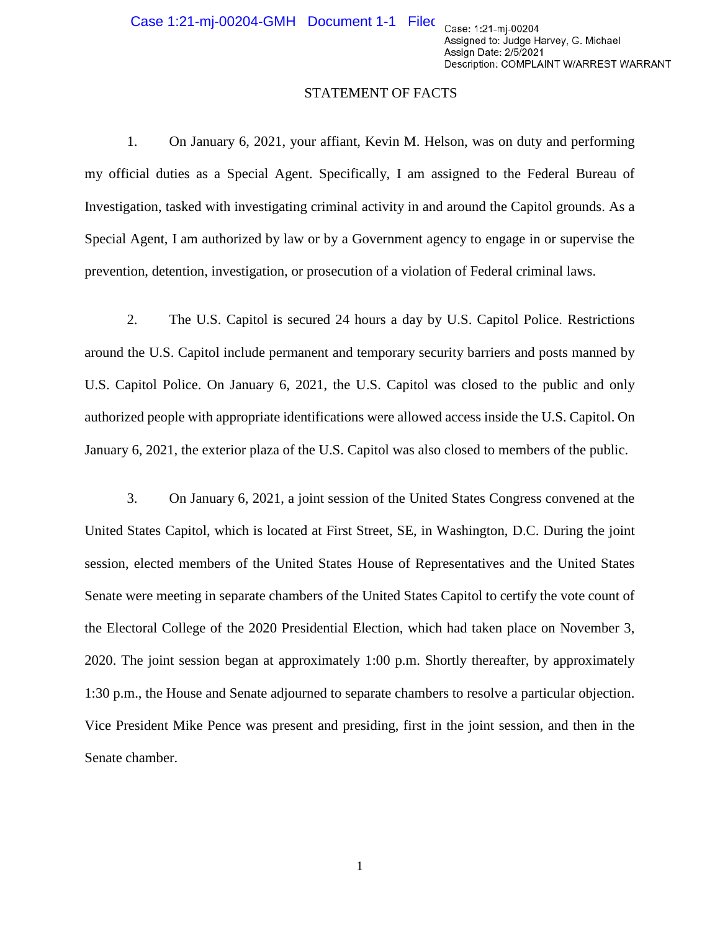# STATEMENT OF FACTS

1. On January 6, 2021, your affiant, Kevin M. Helson, was on duty and performing my official duties as a Special Agent. Specifically, I am assigned to the Federal Bureau of Investigation, tasked with investigating criminal activity in and around the Capitol grounds. As a Special Agent, I am authorized by law or by a Government agency to engage in or supervise the prevention, detention, investigation, or prosecution of a violation of Federal criminal laws.

2. The U.S. Capitol is secured 24 hours a day by U.S. Capitol Police. Restrictions around the U.S. Capitol include permanent and temporary security barriers and posts manned by U.S. Capitol Police. On January 6, 2021, the U.S. Capitol was closed to the public and only authorized people with appropriate identifications were allowed access inside the U.S. Capitol. On January 6, 2021, the exterior plaza of the U.S. Capitol was also closed to members of the public.

3. On January 6, 2021, a joint session of the United States Congress convened at the United States Capitol, which is located at First Street, SE, in Washington, D.C. During the joint session, elected members of the United States House of Representatives and the United States Senate were meeting in separate chambers of the United States Capitol to certify the vote count of the Electoral College of the 2020 Presidential Election, which had taken place on November 3, 2020. The joint session began at approximately 1:00 p.m. Shortly thereafter, by approximately 1:30 p.m., the House and Senate adjourned to separate chambers to resolve a particular objection. Vice President Mike Pence was present and presiding, first in the joint session, and then in the Senate chamber.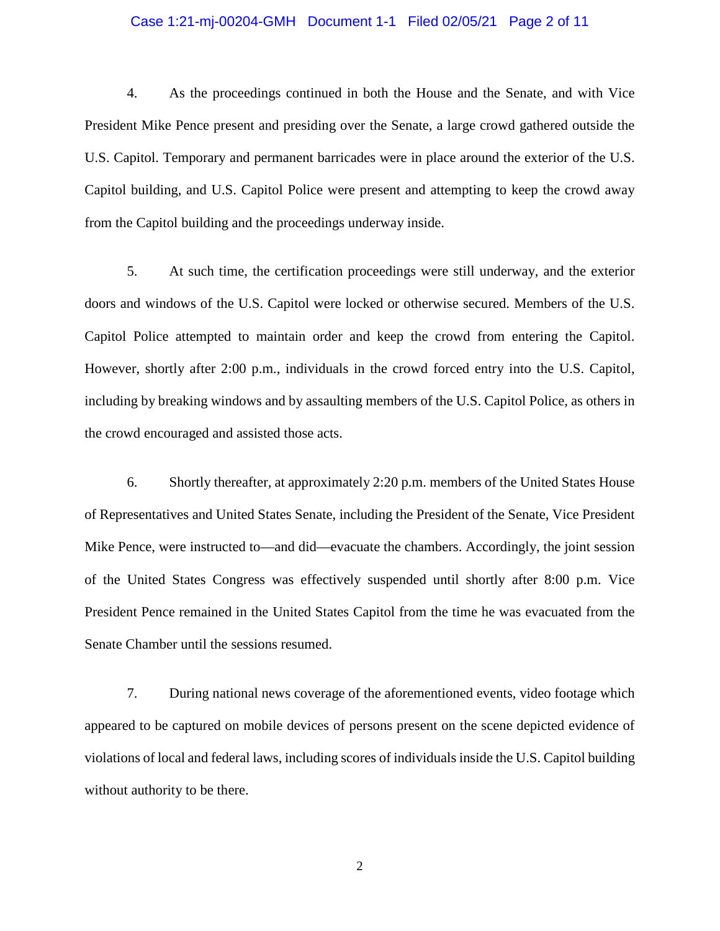# Case 1:21-mj-00204-GMH Document 1-1 Filed 02/05/21 Page 2 of 11

4. As the proceedings continued in both the House and the Senate, and with Vice President Mike Pence present and presiding over the Senate, a large crowd gathered outside the U.S. Capitol. Temporary and permanent barricades were in place around the exterior of the U.S. Capitol building, and U.S. Capitol Police were present and attempting to keep the crowd away from the Capitol building and the proceedings underway inside.

5. At such time, the certification proceedings were still underway, and the exterior doors and windows of the U.S. Capitol were locked or otherwise secured. Members of the U.S. Capitol Police attempted to maintain order and keep the crowd from entering the Capitol. However, shortly after 2:00 p.m., individuals in the crowd forced entry into the U.S. Capitol, including by breaking windows and by assaulting members of the U.S. Capitol Police, as others in the crowd encouraged and assisted those acts.

6. Shortly thereafter, at approximately 2:20 p.m. members of the United States House of Representatives and United States Senate, including the President of the Senate, Vice President Mike Pence, were instructed to—and did—evacuate the chambers. Accordingly, the joint session of the United States Congress was effectively suspended until shortly after 8:00 p.m. Vice President Pence remained in the United States Capitol from the time he was evacuated from the Senate Chamber until the sessions resumed.

7. During national news coverage of the aforementioned events, video footage which appeared to be captured on mobile devices of persons present on the scene depicted evidence of violations of local and federal laws, including scores of individuals inside the U.S. Capitol building without authority to be there.

2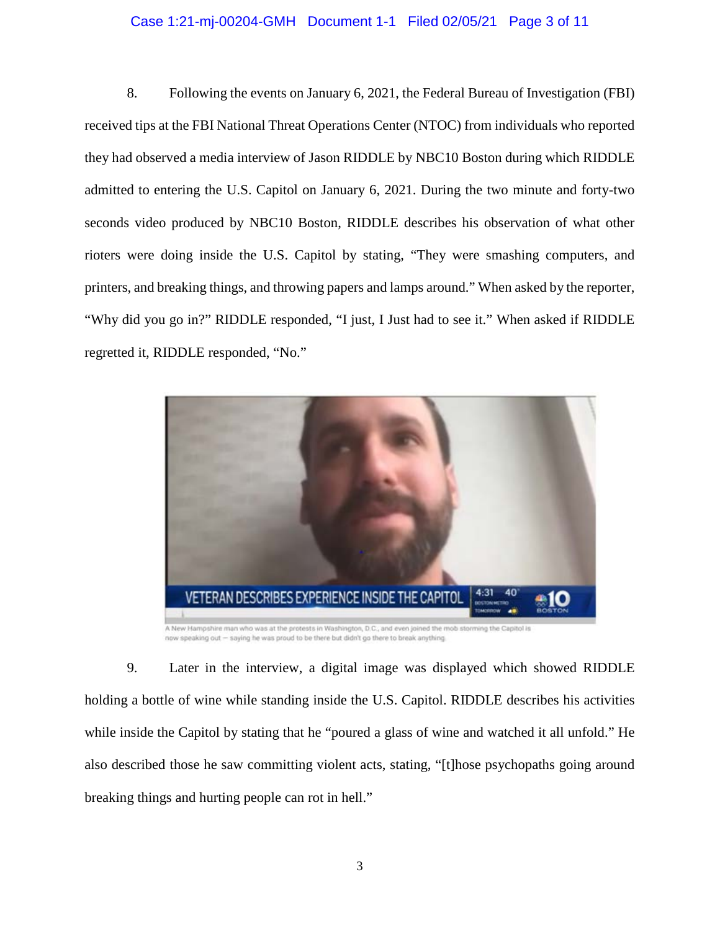# Case 1:21-mj-00204-GMH Document 1-1 Filed 02/05/21 Page 3 of 11

8. Following the events on January 6, 2021, the Federal Bureau of Investigation (FBI) received tips at the FBI National Threat Operations Center (NTOC) from individuals who reported they had observed a media interview of Jason RIDDLE by NBC10 Boston during which RIDDLE admitted to entering the U.S. Capitol on January 6, 2021. During the two minute and forty-two seconds video produced by NBC10 Boston, RIDDLE describes his observation of what other rioters were doing inside the U.S. Capitol by stating, "They were smashing computers, and printers, and breaking things, and throwing papers and lamps around." When asked by the reporter, "Why did you go in?" RIDDLE responded, "I just, I Just had to see it." When asked if RIDDLE regretted it, RIDDLE responded, "No."



9. Later in the interview, a digital image was displayed which showed RIDDLE holding a bottle of wine while standing inside the U.S. Capitol. RIDDLE describes his activities while inside the Capitol by stating that he "poured a glass of wine and watched it all unfold." He also described those he saw committing violent acts, stating, "[t]hose psychopaths going around breaking things and hurting people can rot in hell."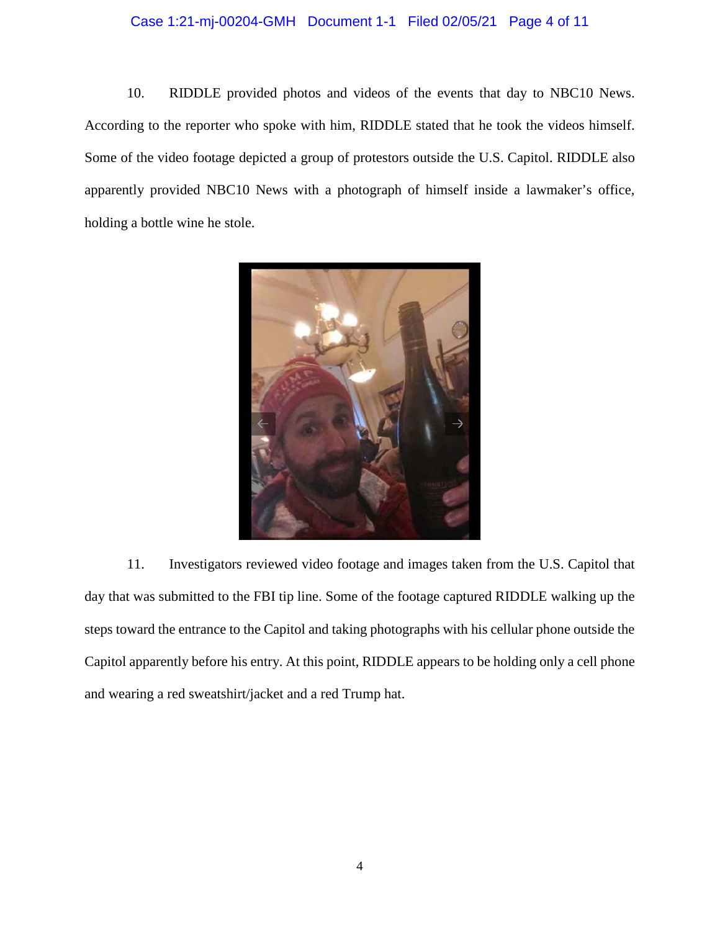# Case 1:21-mj-00204-GMH Document 1-1 Filed 02/05/21 Page 4 of 11

10. RIDDLE provided photos and videos of the events that day to NBC10 News. According to the reporter who spoke with him, RIDDLE stated that he took the videos himself. Some of the video footage depicted a group of protestors outside the U.S. Capitol. RIDDLE also apparently provided NBC10 News with a photograph of himself inside a lawmaker's office, holding a bottle wine he stole.



11. Investigators reviewed video footage and images taken from the U.S. Capitol that day that was submitted to the FBI tip line. Some of the footage captured RIDDLE walking up the steps toward the entrance to the Capitol and taking photographs with his cellular phone outside the Capitol apparently before his entry. At this point, RIDDLE appears to be holding only a cell phone and wearing a red sweatshirt/jacket and a red Trump hat.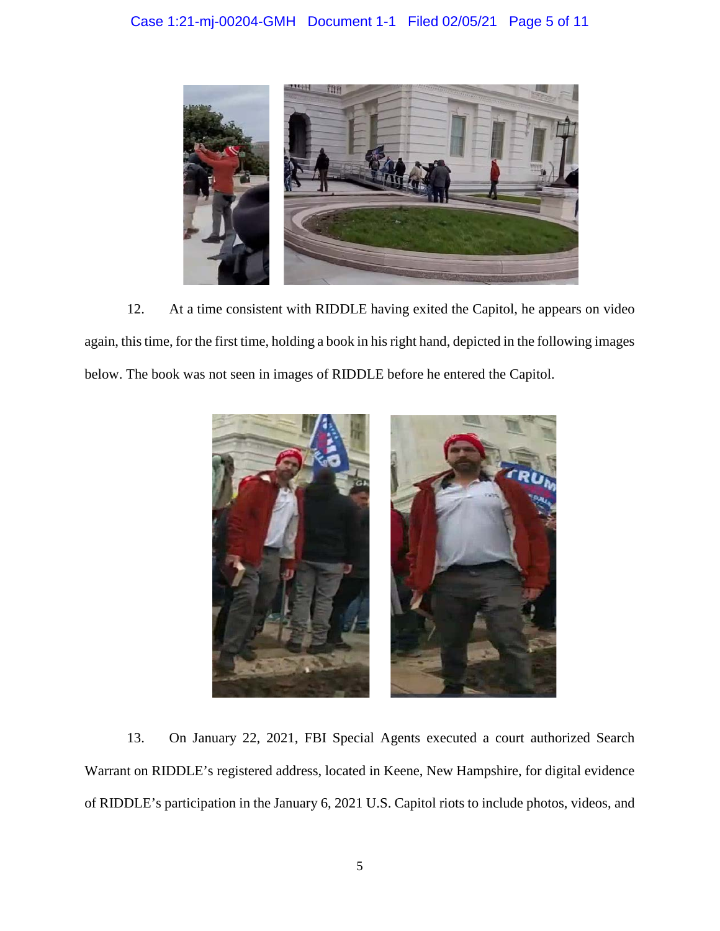

12. At a time consistent with RIDDLE having exited the Capitol, he appears on video again, this time, for the first time, holding a book in his right hand, depicted in the following images below. The book was not seen in images of RIDDLE before he entered the Capitol.



13. On January 22, 2021, FBI Special Agents executed a court authorized Search Warrant on RIDDLE's registered address, located in Keene, New Hampshire, for digital evidence of RIDDLE's participation in the January 6, 2021 U.S. Capitol riots to include photos, videos, and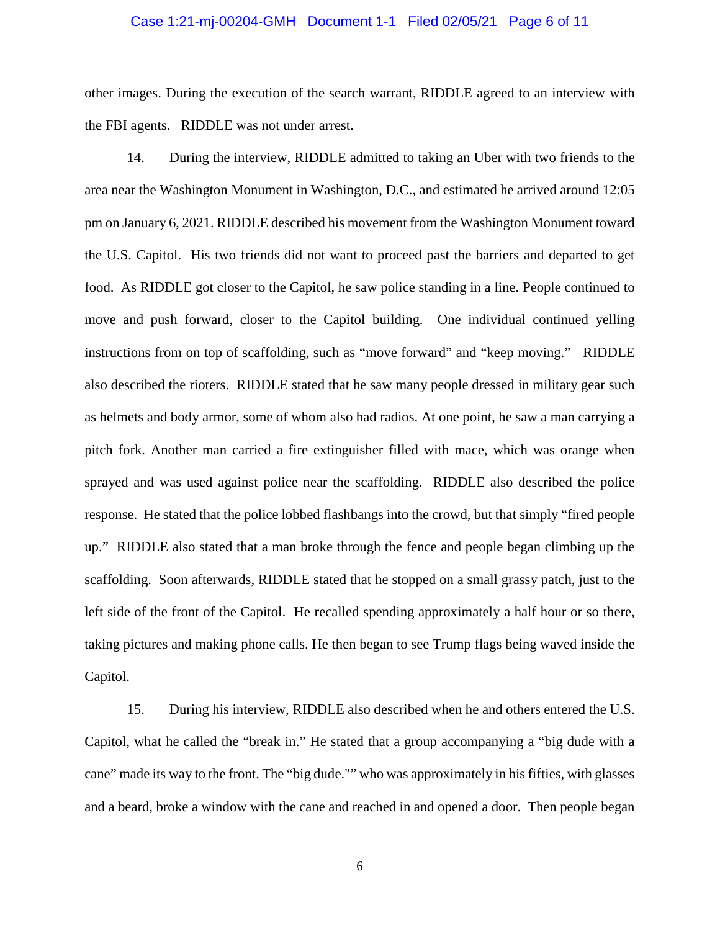### Case 1:21-mj-00204-GMH Document 1-1 Filed 02/05/21 Page 6 of 11

other images. During the execution of the search warrant, RIDDLE agreed to an interview with the FBI agents. RIDDLE was not under arrest.

14. During the interview, RIDDLE admitted to taking an Uber with two friends to the area near the Washington Monument in Washington, D.C., and estimated he arrived around 12:05 pm on January 6, 2021. RIDDLE described his movement from the Washington Monument toward the U.S. Capitol. His two friends did not want to proceed past the barriers and departed to get food. As RIDDLE got closer to the Capitol, he saw police standing in a line. People continued to move and push forward, closer to the Capitol building. One individual continued yelling instructions from on top of scaffolding, such as "move forward" and "keep moving." RIDDLE also described the rioters. RIDDLE stated that he saw many people dressed in military gear such as helmets and body armor, some of whom also had radios. At one point, he saw a man carrying a pitch fork. Another man carried a fire extinguisher filled with mace, which was orange when sprayed and was used against police near the scaffolding. RIDDLE also described the police response. He stated that the police lobbed flashbangs into the crowd, but that simply "fired people up." RIDDLE also stated that a man broke through the fence and people began climbing up the scaffolding. Soon afterwards, RIDDLE stated that he stopped on a small grassy patch, just to the left side of the front of the Capitol. He recalled spending approximately a half hour or so there, taking pictures and making phone calls. He then began to see Trump flags being waved inside the Capitol.

15. During his interview, RIDDLE also described when he and others entered the U.S. Capitol, what he called the "break in." He stated that a group accompanying a "big dude with a cane" made its way to the front. The "big dude."" who was approximately in his fifties, with glasses and a beard, broke a window with the cane and reached in and opened a door. Then people began

6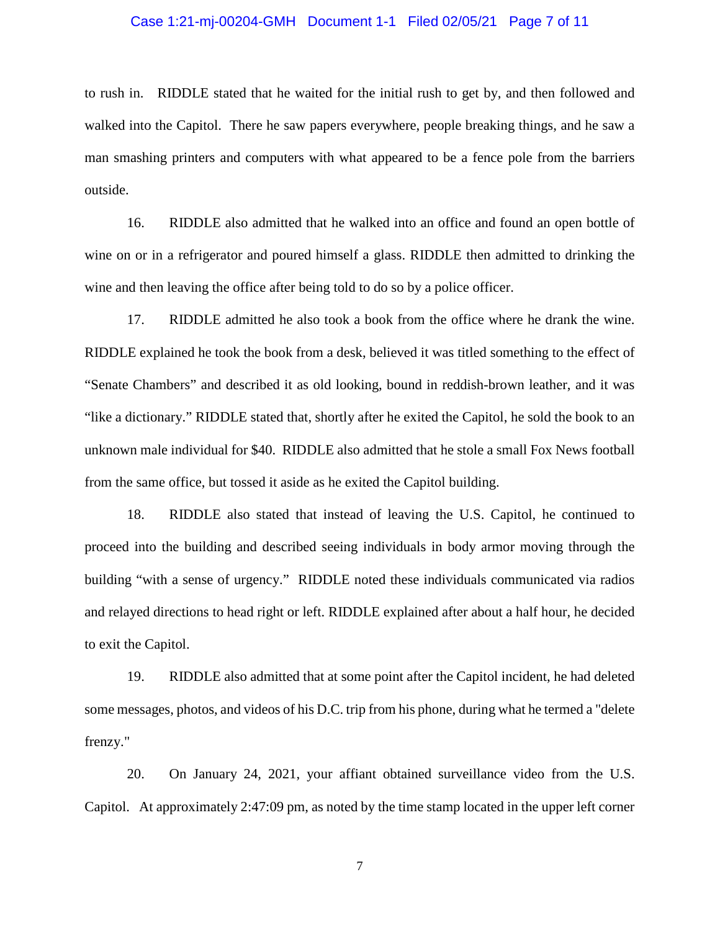#### Case 1:21-mj-00204-GMH Document 1-1 Filed 02/05/21 Page 7 of 11

to rush in. RIDDLE stated that he waited for the initial rush to get by, and then followed and walked into the Capitol. There he saw papers everywhere, people breaking things, and he saw a man smashing printers and computers with what appeared to be a fence pole from the barriers outside.

16. RIDDLE also admitted that he walked into an office and found an open bottle of wine on or in a refrigerator and poured himself a glass. RIDDLE then admitted to drinking the wine and then leaving the office after being told to do so by a police officer.

17. RIDDLE admitted he also took a book from the office where he drank the wine. RIDDLE explained he took the book from a desk, believed it was titled something to the effect of "Senate Chambers" and described it as old looking, bound in reddish-brown leather, and it was "like a dictionary." RIDDLE stated that, shortly after he exited the Capitol, he sold the book to an unknown male individual for \$40. RIDDLE also admitted that he stole a small Fox News football from the same office, but tossed it aside as he exited the Capitol building.

18. RIDDLE also stated that instead of leaving the U.S. Capitol, he continued to proceed into the building and described seeing individuals in body armor moving through the building "with a sense of urgency." RIDDLE noted these individuals communicated via radios and relayed directions to head right or left. RIDDLE explained after about a half hour, he decided to exit the Capitol.

19. RIDDLE also admitted that at some point after the Capitol incident, he had deleted some messages, photos, and videos of his D.C. trip from his phone, during what he termed a "delete frenzy."

20. On January 24, 2021, your affiant obtained surveillance video from the U.S. Capitol. At approximately 2:47:09 pm, as noted by the time stamp located in the upper left corner

7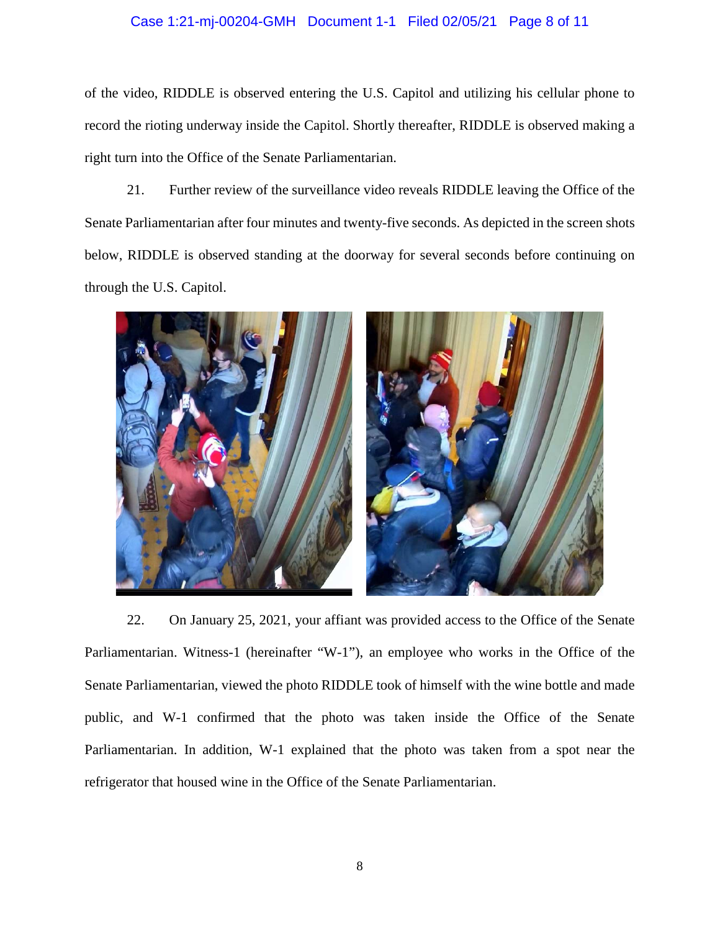# Case 1:21-mj-00204-GMH Document 1-1 Filed 02/05/21 Page 8 of 11

of the video, RIDDLE is observed entering the U.S. Capitol and utilizing his cellular phone to record the rioting underway inside the Capitol. Shortly thereafter, RIDDLE is observed making a right turn into the Office of the Senate Parliamentarian.

21. Further review of the surveillance video reveals RIDDLE leaving the Office of the Senate Parliamentarian after four minutes and twenty-five seconds. As depicted in the screen shots below, RIDDLE is observed standing at the doorway for several seconds before continuing on through the U.S. Capitol.



22. On January 25, 2021, your affiant was provided access to the Office of the Senate Parliamentarian. Witness-1 (hereinafter "W-1"), an employee who works in the Office of the Senate Parliamentarian, viewed the photo RIDDLE took of himself with the wine bottle and made public, and W-1 confirmed that the photo was taken inside the Office of the Senate Parliamentarian. In addition, W-1 explained that the photo was taken from a spot near the refrigerator that housed wine in the Office of the Senate Parliamentarian.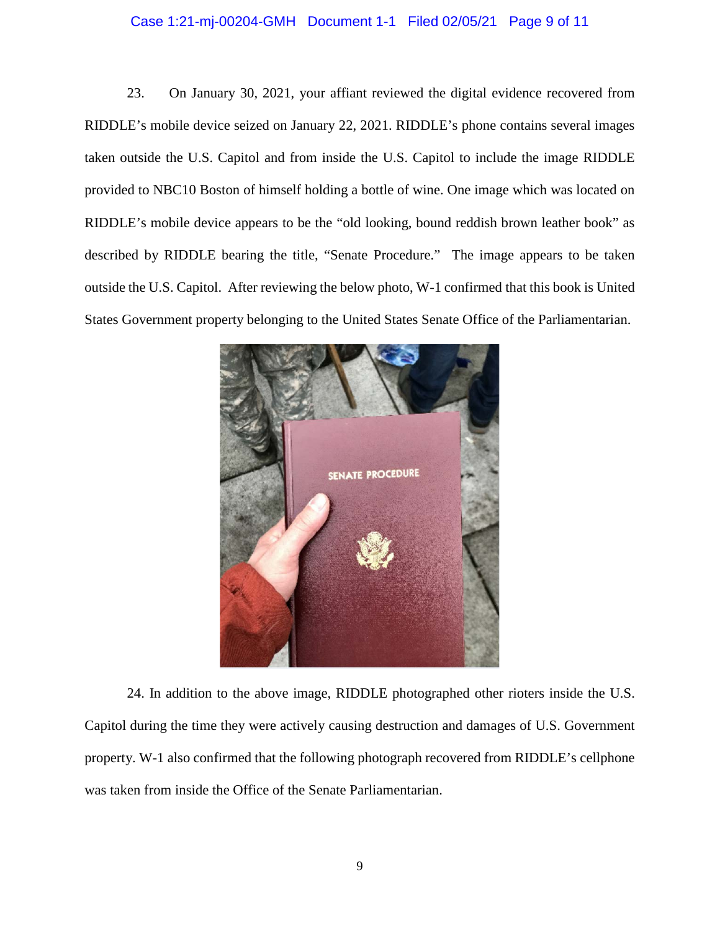# Case 1:21-mj-00204-GMH Document 1-1 Filed 02/05/21 Page 9 of 11

23. On January 30, 2021, your affiant reviewed the digital evidence recovered from RIDDLE's mobile device seized on January 22, 2021. RIDDLE's phone contains several images taken outside the U.S. Capitol and from inside the U.S. Capitol to include the image RIDDLE provided to NBC10 Boston of himself holding a bottle of wine. One image which was located on RIDDLE's mobile device appears to be the "old looking, bound reddish brown leather book" as described by RIDDLE bearing the title, "Senate Procedure." The image appears to be taken outside the U.S. Capitol. After reviewing the below photo, W-1 confirmed that this book is United States Government property belonging to the United States Senate Office of the Parliamentarian.



24. In addition to the above image, RIDDLE photographed other rioters inside the U.S. Capitol during the time they were actively causing destruction and damages of U.S. Government property. W-1 also confirmed that the following photograph recovered from RIDDLE's cellphone was taken from inside the Office of the Senate Parliamentarian.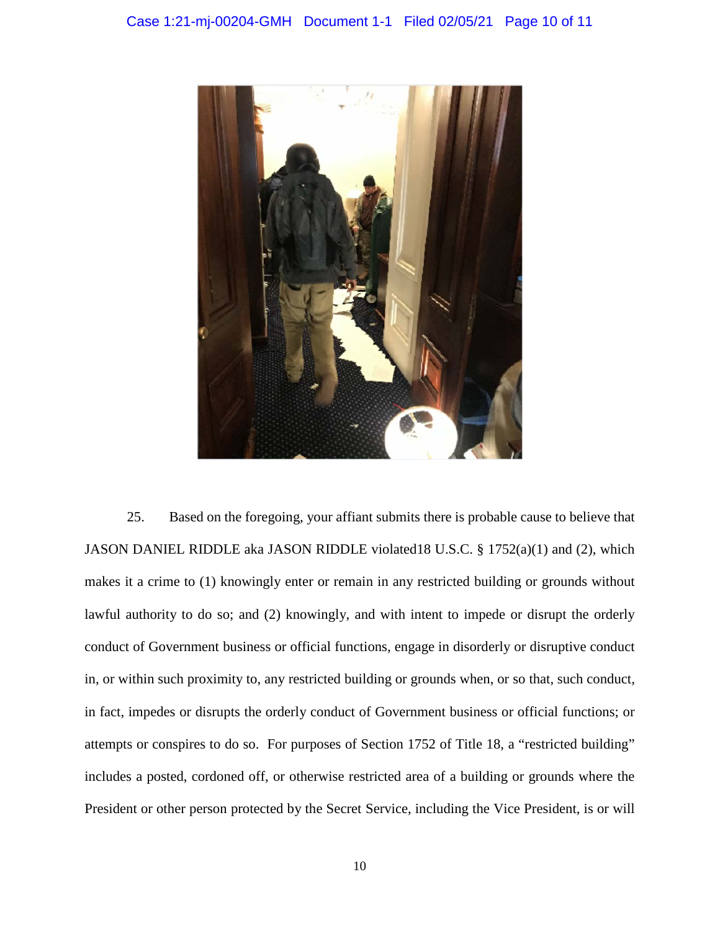

25. Based on the foregoing, your affiant submits there is probable cause to believe that JASON DANIEL RIDDLE aka JASON RIDDLE violated18 U.S.C. § 1752(a)(1) and (2), which makes it a crime to (1) knowingly enter or remain in any restricted building or grounds without lawful authority to do so; and (2) knowingly, and with intent to impede or disrupt the orderly conduct of Government business or official functions, engage in disorderly or disruptive conduct in, or within such proximity to, any restricted building or grounds when, or so that, such conduct, in fact, impedes or disrupts the orderly conduct of Government business or official functions; or attempts or conspires to do so. For purposes of Section 1752 of Title 18, a "restricted building" includes a posted, cordoned off, or otherwise restricted area of a building or grounds where the President or other person protected by the Secret Service, including the Vice President, is or will